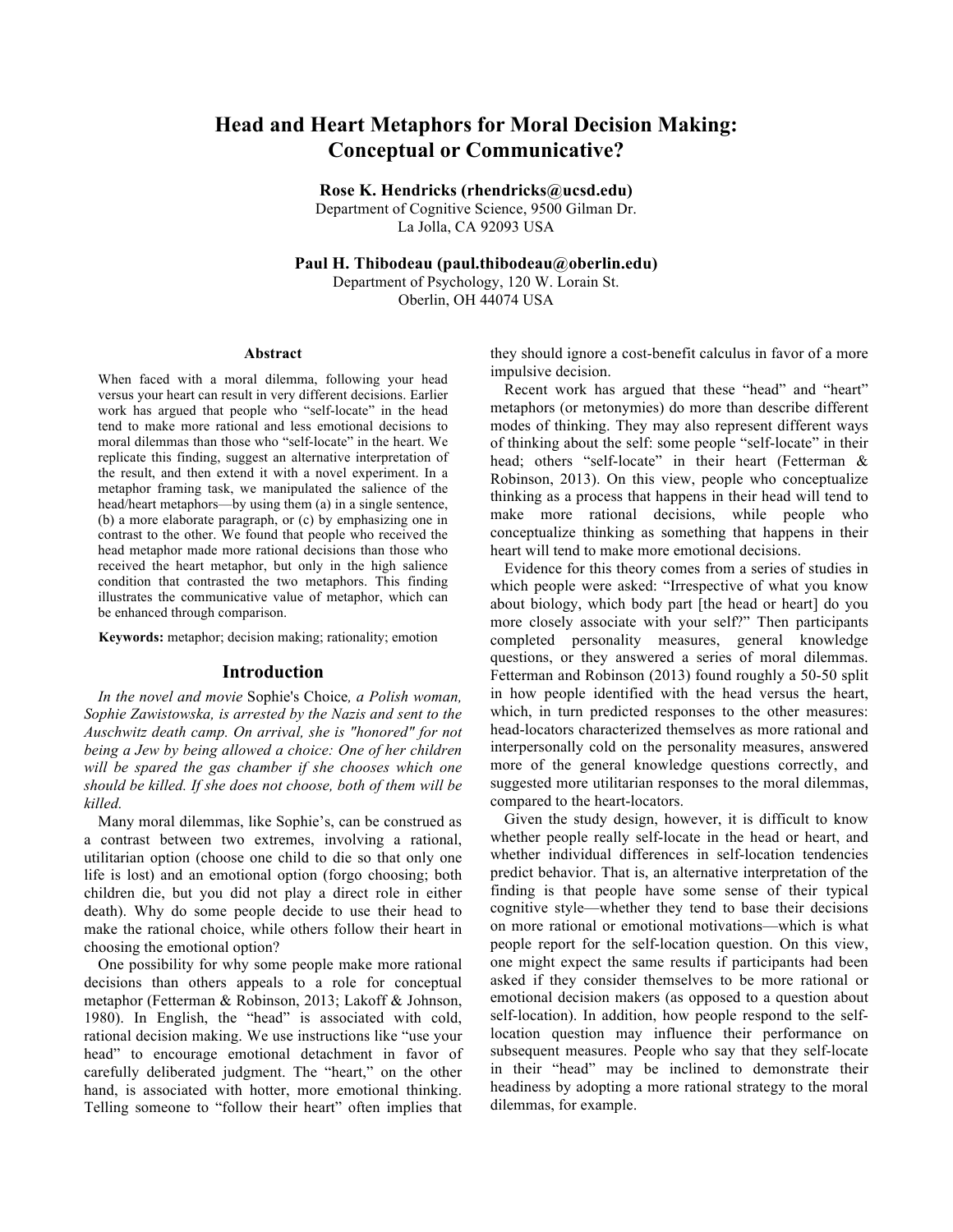# **Head and Heart Metaphors for Moral Decision Making: Conceptual or Communicative?**

**Rose K. Hendricks (rhendricks@ucsd.edu)**

Department of Cognitive Science, 9500 Gilman Dr. La Jolla, CA 92093 USA

**Paul H. Thibodeau (paul.thibodeau@oberlin.edu)** Department of Psychology, 120 W. Lorain St.

Oberlin, OH 44074 USA

#### **Abstract**

When faced with a moral dilemma, following your head versus your heart can result in very different decisions. Earlier work has argued that people who "self-locate" in the head tend to make more rational and less emotional decisions to moral dilemmas than those who "self-locate" in the heart. We replicate this finding, suggest an alternative interpretation of the result, and then extend it with a novel experiment. In a metaphor framing task, we manipulated the salience of the head/heart metaphors—by using them (a) in a single sentence, (b) a more elaborate paragraph, or (c) by emphasizing one in contrast to the other. We found that people who received the head metaphor made more rational decisions than those who received the heart metaphor, but only in the high salience condition that contrasted the two metaphors. This finding illustrates the communicative value of metaphor, which can be enhanced through comparison.

**Keywords:** metaphor; decision making; rationality; emotion

## **Introduction**

*In the novel and movie* Sophie's Choice*, a Polish woman, Sophie Zawistowska, is arrested by the Nazis and sent to the Auschwitz death camp. On arrival, she is "honored" for not being a Jew by being allowed a choice: One of her children will be spared the gas chamber if she chooses which one should be killed. If she does not choose, both of them will be killed.* 

Many moral dilemmas, like Sophie's, can be construed as a contrast between two extremes, involving a rational, utilitarian option (choose one child to die so that only one life is lost) and an emotional option (forgo choosing; both children die, but you did not play a direct role in either death). Why do some people decide to use their head to make the rational choice, while others follow their heart in choosing the emotional option?

One possibility for why some people make more rational decisions than others appeals to a role for conceptual metaphor (Fetterman & Robinson, 2013; Lakoff & Johnson, 1980). In English, the "head" is associated with cold, rational decision making. We use instructions like "use your head" to encourage emotional detachment in favor of carefully deliberated judgment. The "heart," on the other hand, is associated with hotter, more emotional thinking. Telling someone to "follow their heart" often implies that

they should ignore a cost-benefit calculus in favor of a more impulsive decision.

Recent work has argued that these "head" and "heart" metaphors (or metonymies) do more than describe different modes of thinking. They may also represent different ways of thinking about the self: some people "self-locate" in their head; others "self-locate" in their heart (Fetterman & Robinson, 2013). On this view, people who conceptualize thinking as a process that happens in their head will tend to make more rational decisions, while people who conceptualize thinking as something that happens in their heart will tend to make more emotional decisions.

Evidence for this theory comes from a series of studies in which people were asked: "Irrespective of what you know about biology, which body part [the head or heart] do you more closely associate with your self?" Then participants completed personality measures, general knowledge questions, or they answered a series of moral dilemmas. Fetterman and Robinson (2013) found roughly a 50-50 split in how people identified with the head versus the heart, which, in turn predicted responses to the other measures: head-locators characterized themselves as more rational and interpersonally cold on the personality measures, answered more of the general knowledge questions correctly, and suggested more utilitarian responses to the moral dilemmas, compared to the heart-locators.

Given the study design, however, it is difficult to know whether people really self-locate in the head or heart, and whether individual differences in self-location tendencies predict behavior. That is, an alternative interpretation of the finding is that people have some sense of their typical cognitive style—whether they tend to base their decisions on more rational or emotional motivations—which is what people report for the self-location question. On this view, one might expect the same results if participants had been asked if they consider themselves to be more rational or emotional decision makers (as opposed to a question about self-location). In addition, how people respond to the selflocation question may influence their performance on subsequent measures. People who say that they self-locate in their "head" may be inclined to demonstrate their headiness by adopting a more rational strategy to the moral dilemmas, for example.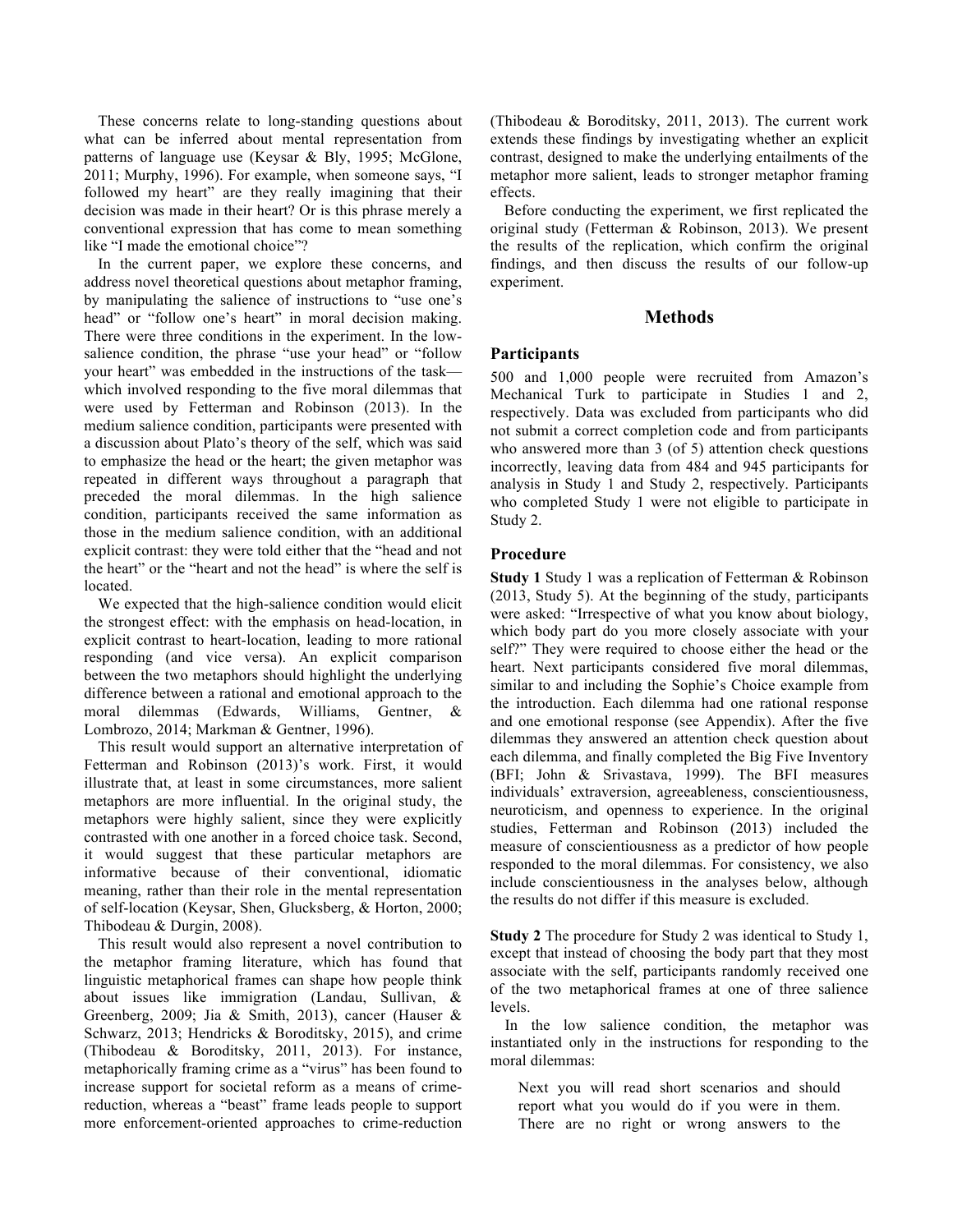These concerns relate to long-standing questions about what can be inferred about mental representation from patterns of language use (Keysar & Bly, 1995; McGlone, 2011; Murphy, 1996). For example, when someone says, "I followed my heart" are they really imagining that their decision was made in their heart? Or is this phrase merely a conventional expression that has come to mean something like "I made the emotional choice"?

In the current paper, we explore these concerns, and address novel theoretical questions about metaphor framing, by manipulating the salience of instructions to "use one's head" or "follow one's heart" in moral decision making. There were three conditions in the experiment. In the lowsalience condition, the phrase "use your head" or "follow your heart" was embedded in the instructions of the task which involved responding to the five moral dilemmas that were used by Fetterman and Robinson (2013). In the medium salience condition, participants were presented with a discussion about Plato's theory of the self, which was said to emphasize the head or the heart; the given metaphor was repeated in different ways throughout a paragraph that preceded the moral dilemmas. In the high salience condition, participants received the same information as those in the medium salience condition, with an additional explicit contrast: they were told either that the "head and not the heart" or the "heart and not the head" is where the self is located.

We expected that the high-salience condition would elicit the strongest effect: with the emphasis on head-location, in explicit contrast to heart-location, leading to more rational responding (and vice versa). An explicit comparison between the two metaphors should highlight the underlying difference between a rational and emotional approach to the moral dilemmas (Edwards, Williams, Gentner, & Lombrozo, 2014; Markman & Gentner, 1996).

This result would support an alternative interpretation of Fetterman and Robinson (2013)'s work. First, it would illustrate that, at least in some circumstances, more salient metaphors are more influential. In the original study, the metaphors were highly salient, since they were explicitly contrasted with one another in a forced choice task. Second, it would suggest that these particular metaphors are informative because of their conventional, idiomatic meaning, rather than their role in the mental representation of self-location (Keysar, Shen, Glucksberg, & Horton, 2000; Thibodeau & Durgin, 2008).

This result would also represent a novel contribution to the metaphor framing literature, which has found that linguistic metaphorical frames can shape how people think about issues like immigration (Landau, Sullivan, & Greenberg, 2009; Jia & Smith, 2013), cancer (Hauser & Schwarz, 2013; Hendricks & Boroditsky, 2015), and crime (Thibodeau & Boroditsky, 2011, 2013). For instance, metaphorically framing crime as a "virus" has been found to increase support for societal reform as a means of crimereduction, whereas a "beast" frame leads people to support more enforcement-oriented approaches to crime-reduction (Thibodeau & Boroditsky, 2011, 2013). The current work extends these findings by investigating whether an explicit contrast, designed to make the underlying entailments of the metaphor more salient, leads to stronger metaphor framing effects.

Before conducting the experiment, we first replicated the original study (Fetterman & Robinson, 2013). We present the results of the replication, which confirm the original findings, and then discuss the results of our follow-up experiment.

# **Methods**

# **Participants**

500 and 1,000 people were recruited from Amazon's Mechanical Turk to participate in Studies 1 and 2, respectively. Data was excluded from participants who did not submit a correct completion code and from participants who answered more than 3 (of 5) attention check questions incorrectly, leaving data from 484 and 945 participants for analysis in Study 1 and Study 2, respectively. Participants who completed Study 1 were not eligible to participate in Study 2.

## **Procedure**

**Study 1** Study 1 was a replication of Fetterman & Robinson (2013, Study 5). At the beginning of the study, participants were asked: "Irrespective of what you know about biology, which body part do you more closely associate with your self?" They were required to choose either the head or the heart. Next participants considered five moral dilemmas, similar to and including the Sophie's Choice example from the introduction. Each dilemma had one rational response and one emotional response (see Appendix). After the five dilemmas they answered an attention check question about each dilemma, and finally completed the Big Five Inventory (BFI; John & Srivastava, 1999). The BFI measures individuals' extraversion, agreeableness, conscientiousness, neuroticism, and openness to experience. In the original studies, Fetterman and Robinson (2013) included the measure of conscientiousness as a predictor of how people responded to the moral dilemmas. For consistency, we also include conscientiousness in the analyses below, although the results do not differ if this measure is excluded.

**Study 2** The procedure for Study 2 was identical to Study 1, except that instead of choosing the body part that they most associate with the self, participants randomly received one of the two metaphorical frames at one of three salience levels.

In the low salience condition, the metaphor was instantiated only in the instructions for responding to the moral dilemmas:

Next you will read short scenarios and should report what you would do if you were in them. There are no right or wrong answers to the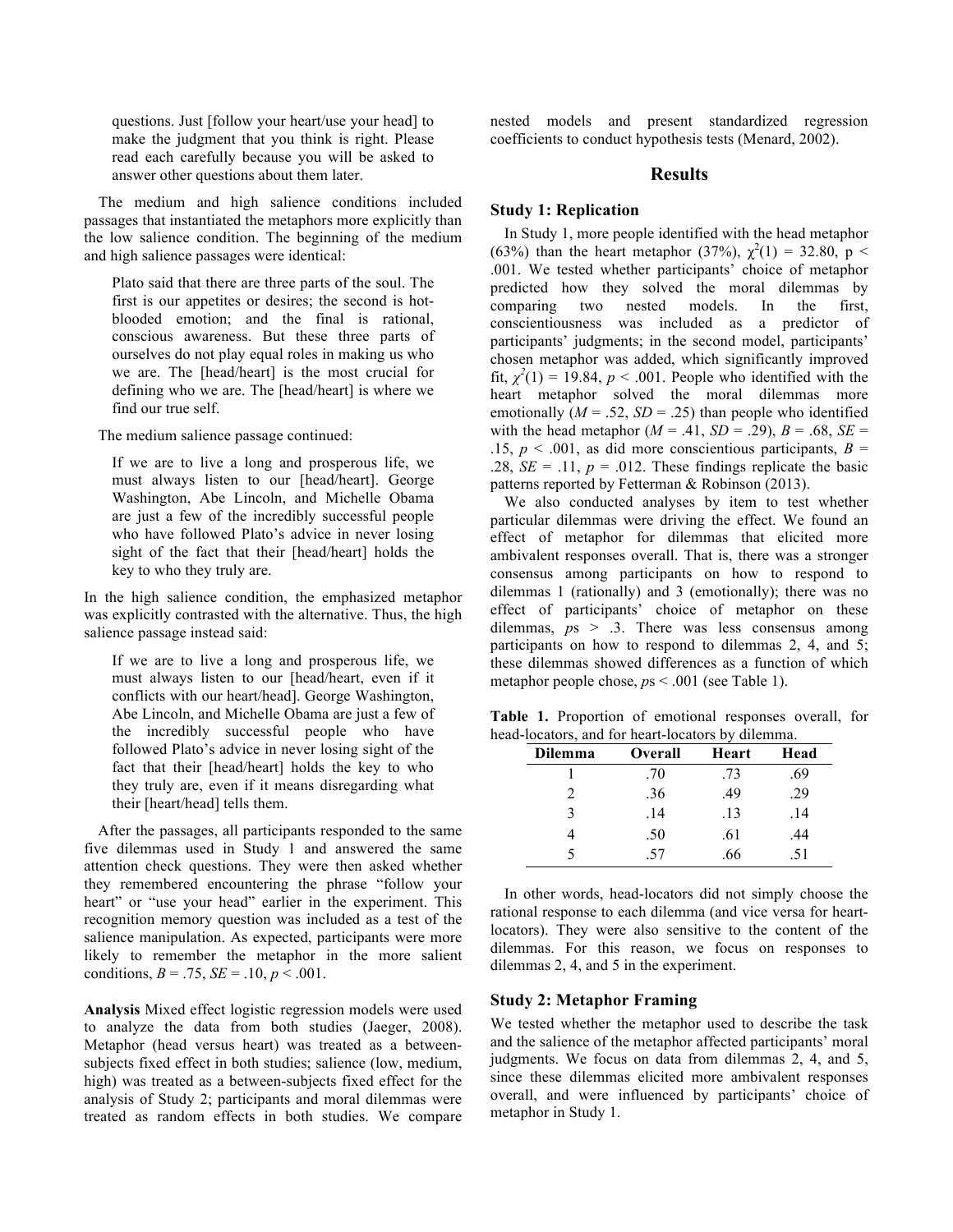questions. Just [follow your heart/use your head] to make the judgment that you think is right. Please read each carefully because you will be asked to answer other questions about them later.

The medium and high salience conditions included passages that instantiated the metaphors more explicitly than the low salience condition. The beginning of the medium and high salience passages were identical:

Plato said that there are three parts of the soul. The first is our appetites or desires; the second is hotblooded emotion; and the final is rational, conscious awareness. But these three parts of ourselves do not play equal roles in making us who we are. The [head/heart] is the most crucial for defining who we are. The [head/heart] is where we find our true self.

The medium salience passage continued:

If we are to live a long and prosperous life, we must always listen to our [head/heart]. George Washington, Abe Lincoln, and Michelle Obama are just a few of the incredibly successful people who have followed Plato's advice in never losing sight of the fact that their [head/heart] holds the key to who they truly are.

In the high salience condition, the emphasized metaphor was explicitly contrasted with the alternative. Thus, the high salience passage instead said:

If we are to live a long and prosperous life, we must always listen to our [head/heart, even if it conflicts with our heart/head]. George Washington, Abe Lincoln, and Michelle Obama are just a few of the incredibly successful people who have followed Plato's advice in never losing sight of the fact that their [head/heart] holds the key to who they truly are, even if it means disregarding what their [heart/head] tells them.

After the passages, all participants responded to the same five dilemmas used in Study 1 and answered the same attention check questions. They were then asked whether they remembered encountering the phrase "follow your heart" or "use your head" earlier in the experiment. This recognition memory question was included as a test of the salience manipulation. As expected, participants were more likely to remember the metaphor in the more salient conditions,  $B = .75$ ,  $SE = .10$ ,  $p < .001$ .

**Analysis** Mixed effect logistic regression models were used to analyze the data from both studies (Jaeger, 2008). Metaphor (head versus heart) was treated as a betweensubjects fixed effect in both studies; salience (low, medium, high) was treated as a between-subjects fixed effect for the analysis of Study 2; participants and moral dilemmas were treated as random effects in both studies. We compare nested models and present standardized regression coefficients to conduct hypothesis tests (Menard, 2002).

## **Results**

#### **Study 1: Replication**

In Study 1, more people identified with the head metaphor (63%) than the heart metaphor (37%),  $\chi^2(1) = 32.80$ , p < .001. We tested whether participants' choice of metaphor predicted how they solved the moral dilemmas by comparing two nested models. In the first, conscientiousness was included as a predictor of participants' judgments; in the second model, participants' chosen metaphor was added, which significantly improved fit,  $\chi^2(1) = 19.84$ ,  $p < .001$ . People who identified with the heart metaphor solved the moral dilemmas more emotionally  $(M = .52, SD = .25)$  than people who identified with the head metaphor  $(M = .41, SD = .29)$ ,  $B = .68$ ,  $SE =$ .15,  $p \le 0.001$ , as did more conscientious participants,  $B =$ .28,  $SE = .11$ ,  $p = .012$ . These findings replicate the basic patterns reported by Fetterman & Robinson (2013).

We also conducted analyses by item to test whether particular dilemmas were driving the effect. We found an effect of metaphor for dilemmas that elicited more ambivalent responses overall. That is, there was a stronger consensus among participants on how to respond to dilemmas 1 (rationally) and 3 (emotionally); there was no effect of participants' choice of metaphor on these dilemmas, *p*s > .3. There was less consensus among participants on how to respond to dilemmas 2, 4, and 5; these dilemmas showed differences as a function of which metaphor people chose, *p*s < .001 (see Table 1).

**Table 1.** Proportion of emotional responses overall, for head-locators, and for heart-locators by dilemma.

| <b>Dilemma</b> | <b>Overall</b> | Heart | Head |
|----------------|----------------|-------|------|
|                | .70            | .73   | .69  |
|                | .36            | .49   | .29  |
| 3              | .14            | .13   | .14  |
|                | .50            | .61   | .44  |
|                | -57            | .66   | -51  |

In other words, head-locators did not simply choose the rational response to each dilemma (and vice versa for heartlocators). They were also sensitive to the content of the dilemmas. For this reason, we focus on responses to dilemmas 2, 4, and 5 in the experiment.

## **Study 2: Metaphor Framing**

We tested whether the metaphor used to describe the task and the salience of the metaphor affected participants' moral judgments. We focus on data from dilemmas 2, 4, and 5, since these dilemmas elicited more ambivalent responses overall, and were influenced by participants' choice of metaphor in Study 1.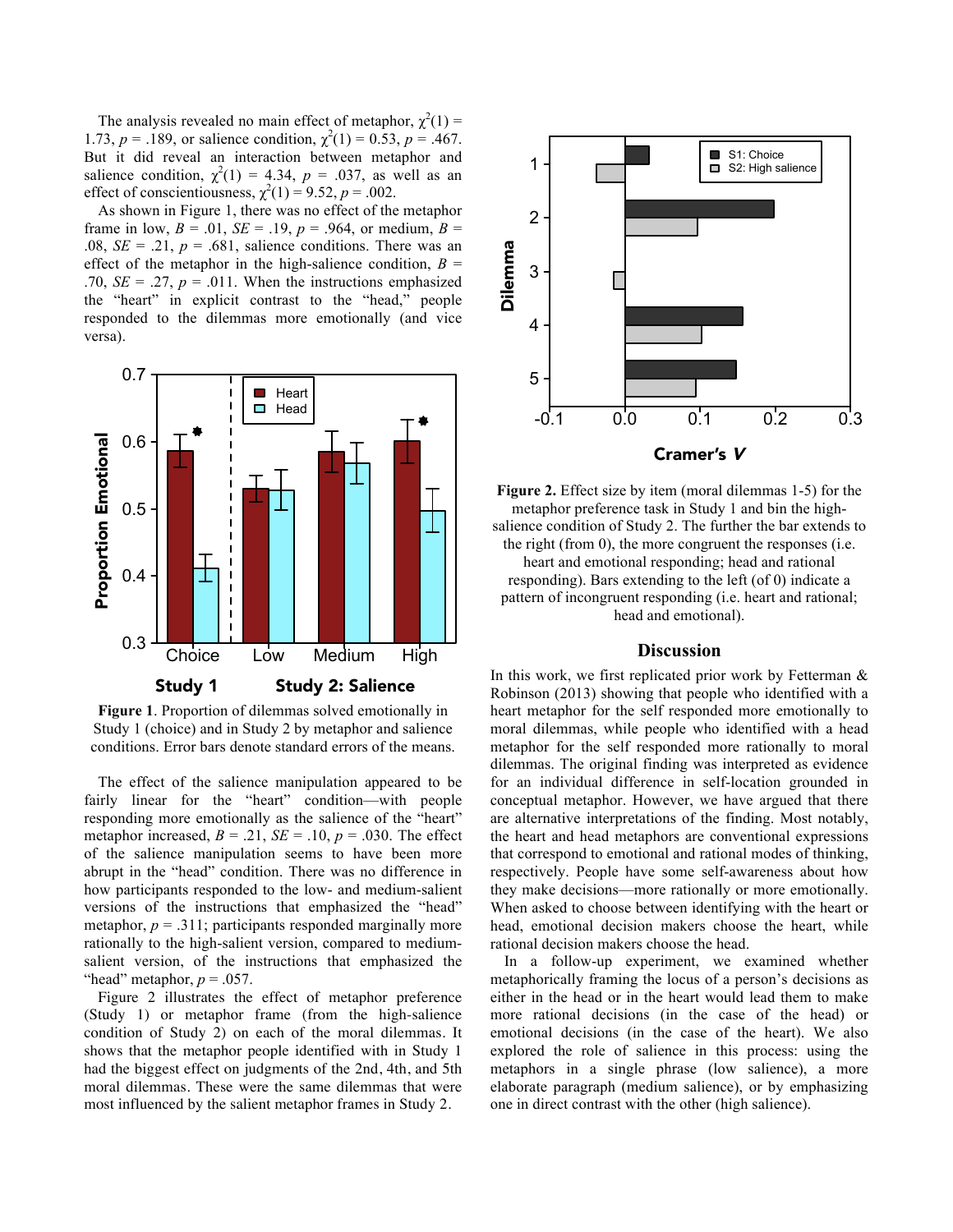The analysis revealed no main effect of metaphor,  $\chi^2(1)$  = 1.73,  $p = 0.189$ , or salience condition,  $\chi^2(1) = 0.53$ ,  $p = 0.467$ . But it did reveal an interaction between metaphor and salience condition,  $\chi^2(1) = 4.34$ ,  $p = .037$ , as well as an effect of conscientiousness,  $\chi^2(1) = 9.52$ ,  $p = .002$ .

As shown in Figure 1, there was no effect of the metaphor frame in low,  $B = .01$ ,  $SE = .19$ ,  $p = .964$ , or medium,  $B =$ .08,  $SE = .21$ ,  $p = .681$ , salience conditions. There was an effect of the metaphor in the high-salience condition,  $B =$ .70,  $SE = .27$ ,  $p = .011$ . When the instructions emphasized the "heart" in explicit contrast to the "head," people responded to the dilemmas more emotionally (and vice versa).



**Figure 1**. Proportion of dilemmas solved emotionally in Study 1 (choice) and in Study 2 by metaphor and salience conditions. Error bars denote standard errors of the means.

The effect of the salience manipulation appeared to be fairly linear for the "heart" condition—with people responding more emotionally as the salience of the "heart" metaphor increased,  $B = .21$ ,  $SE = .10$ ,  $p = .030$ . The effect of the salience manipulation seems to have been more abrupt in the "head" condition. There was no difference in how participants responded to the low- and medium-salient versions of the instructions that emphasized the "head" metaphor,  $p = .311$ ; participants responded marginally more rationally to the high-salient version, compared to mediumsalient version, of the instructions that emphasized the "head" metaphor,  $p = .057$ .

Figure 2 illustrates the effect of metaphor preference (Study 1) or metaphor frame (from the high-salience condition of Study 2) on each of the moral dilemmas. It shows that the metaphor people identified with in Study 1 had the biggest effect on judgments of the 2nd, 4th, and 5th moral dilemmas. These were the same dilemmas that were most influenced by the salient metaphor frames in Study 2.



**Figure 2.** Effect size by item (moral dilemmas 1-5) for the metaphor preference task in Study 1 and bin the highsalience condition of Study 2. The further the bar extends to the right (from 0), the more congruent the responses (i.e. heart and emotional responding; head and rational responding). Bars extending to the left (of 0) indicate a pattern of incongruent responding (i.e. heart and rational; head and emotional).

#### **Discussion**

In this work, we first replicated prior work by Fetterman  $\&$ Robinson (2013) showing that people who identified with a heart metaphor for the self responded more emotionally to moral dilemmas, while people who identified with a head metaphor for the self responded more rationally to moral dilemmas. The original finding was interpreted as evidence for an individual difference in self-location grounded in conceptual metaphor. However, we have argued that there are alternative interpretations of the finding. Most notably, the heart and head metaphors are conventional expressions that correspond to emotional and rational modes of thinking, respectively. People have some self-awareness about how they make decisions—more rationally or more emotionally. When asked to choose between identifying with the heart or head, emotional decision makers choose the heart, while rational decision makers choose the head.

In a follow-up experiment, we examined whether metaphorically framing the locus of a person's decisions as either in the head or in the heart would lead them to make more rational decisions (in the case of the head) or emotional decisions (in the case of the heart). We also explored the role of salience in this process: using the metaphors in a single phrase (low salience), a more elaborate paragraph (medium salience), or by emphasizing one in direct contrast with the other (high salience).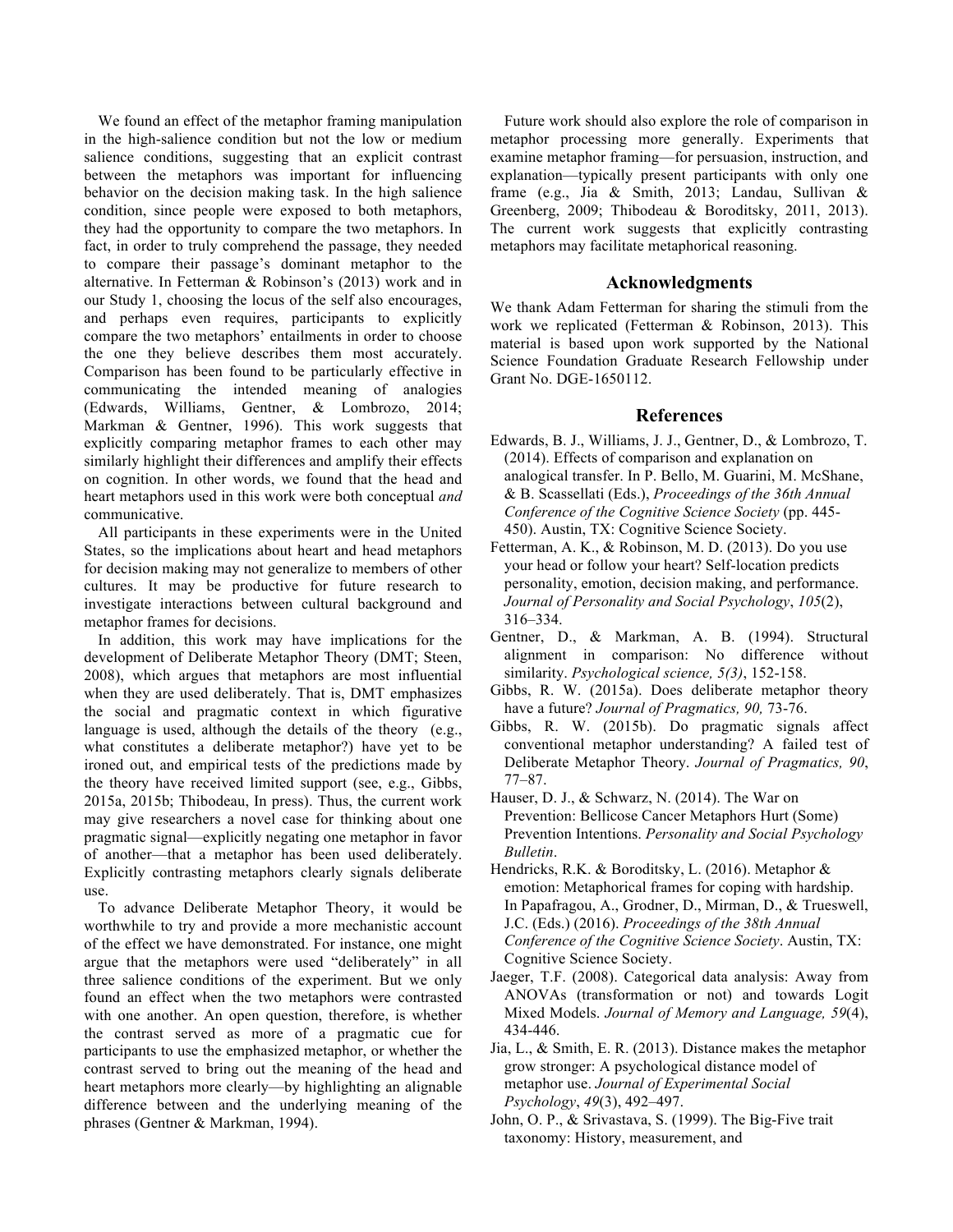We found an effect of the metaphor framing manipulation in the high-salience condition but not the low or medium salience conditions, suggesting that an explicit contrast between the metaphors was important for influencing behavior on the decision making task. In the high salience condition, since people were exposed to both metaphors, they had the opportunity to compare the two metaphors. In fact, in order to truly comprehend the passage, they needed to compare their passage's dominant metaphor to the alternative. In Fetterman & Robinson's (2013) work and in our Study 1, choosing the locus of the self also encourages, and perhaps even requires, participants to explicitly compare the two metaphors' entailments in order to choose the one they believe describes them most accurately. Comparison has been found to be particularly effective in communicating the intended meaning of analogies (Edwards, Williams, Gentner, & Lombrozo, 2014; Markman & Gentner, 1996). This work suggests that explicitly comparing metaphor frames to each other may similarly highlight their differences and amplify their effects on cognition. In other words, we found that the head and heart metaphors used in this work were both conceptual *and* communicative.

All participants in these experiments were in the United States, so the implications about heart and head metaphors for decision making may not generalize to members of other cultures. It may be productive for future research to investigate interactions between cultural background and metaphor frames for decisions.

In addition, this work may have implications for the development of Deliberate Metaphor Theory (DMT; Steen, 2008), which argues that metaphors are most influential when they are used deliberately. That is, DMT emphasizes the social and pragmatic context in which figurative language is used, although the details of the theory (e.g., what constitutes a deliberate metaphor?) have yet to be ironed out, and empirical tests of the predictions made by the theory have received limited support (see, e.g., Gibbs, 2015a, 2015b; Thibodeau, In press). Thus, the current work may give researchers a novel case for thinking about one pragmatic signal—explicitly negating one metaphor in favor of another—that a metaphor has been used deliberately. Explicitly contrasting metaphors clearly signals deliberate use.

To advance Deliberate Metaphor Theory, it would be worthwhile to try and provide a more mechanistic account of the effect we have demonstrated. For instance, one might argue that the metaphors were used "deliberately" in all three salience conditions of the experiment. But we only found an effect when the two metaphors were contrasted with one another. An open question, therefore, is whether the contrast served as more of a pragmatic cue for participants to use the emphasized metaphor, or whether the contrast served to bring out the meaning of the head and heart metaphors more clearly—by highlighting an alignable difference between and the underlying meaning of the phrases (Gentner & Markman, 1994).

Future work should also explore the role of comparison in metaphor processing more generally. Experiments that examine metaphor framing—for persuasion, instruction, and explanation—typically present participants with only one frame (e.g., Jia & Smith, 2013; Landau, Sullivan & Greenberg, 2009; Thibodeau & Boroditsky, 2011, 2013). The current work suggests that explicitly contrasting metaphors may facilitate metaphorical reasoning.

#### **Acknowledgments**

We thank Adam Fetterman for sharing the stimuli from the work we replicated (Fetterman & Robinson, 2013). This material is based upon work supported by the National Science Foundation Graduate Research Fellowship under Grant No. DGE-1650112.

#### **References**

- Edwards, B. J., Williams, J. J., Gentner, D., & Lombrozo, T. (2014). Effects of comparison and explanation on analogical transfer. In P. Bello, M. Guarini, M. McShane, & B. Scassellati (Eds.), *Proceedings of the 36th Annual Conference of the Cognitive Science Society* (pp. 445- 450). Austin, TX: Cognitive Science Society.
- Fetterman, A. K., & Robinson, M. D. (2013). Do you use your head or follow your heart? Self-location predicts personality, emotion, decision making, and performance. *Journal of Personality and Social Psychology*, *105*(2), 316–334.
- Gentner, D., & Markman, A. B. (1994). Structural alignment in comparison: No difference without similarity. *Psychological science, 5(3)*, 152-158.
- Gibbs, R. W. (2015a). Does deliberate metaphor theory have a future? *Journal of Pragmatics, 90,* 73-76.
- Gibbs, R. W. (2015b). Do pragmatic signals affect conventional metaphor understanding? A failed test of Deliberate Metaphor Theory. *Journal of Pragmatics, 90*, 77–87.
- Hauser, D. J., & Schwarz, N. (2014). The War on Prevention: Bellicose Cancer Metaphors Hurt (Some) Prevention Intentions. *Personality and Social Psychology Bulletin*.
- Hendricks, R.K. & Boroditsky, L. (2016). Metaphor & emotion: Metaphorical frames for coping with hardship. In Papafragou, A., Grodner, D., Mirman, D., & Trueswell, J.C. (Eds.) (2016). *Proceedings of the 38th Annual Conference of the Cognitive Science Society*. Austin, TX: Cognitive Science Society.
- Jaeger, T.F. (2008). Categorical data analysis: Away from ANOVAs (transformation or not) and towards Logit Mixed Models. *Journal of Memory and Language, 59*(4), 434-446.
- Jia, L., & Smith, E. R. (2013). Distance makes the metaphor grow stronger: A psychological distance model of metaphor use. *Journal of Experimental Social Psychology*, *49*(3), 492–497.
- John, O. P., & Srivastava, S. (1999). The Big-Five trait taxonomy: History, measurement, and